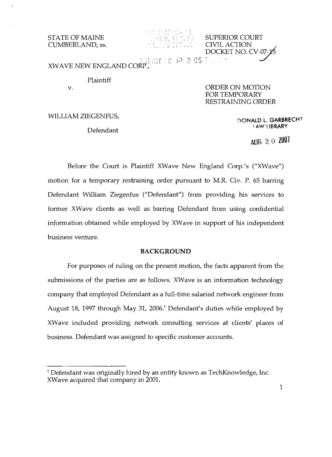**STATE OF MAINE EXECUTE:** SUPERIOR COURT CUMBERLAND, ss.

 $\ddot{\gamma}$  -1  $\ddot{\gamma}$ XWAVE NEW ENGLAND CORP!.;

Plaintiff

v. ORDER ON MOTION FOR TEMPORARY RESTRAINING ORDER

 CIVIL ACTION DOCKET NO. CV-07

WILLIAM ZIEGENFUS,<br>DONALD L. GARBRECHT I A.W LIBRARY Defendant

AUG 2 0 **1001** 

Before the Court is Plaintiff XWave New England Corp.'s ("XWave") motion for a temporary restraining order pursuant to M.R. Civ. P. 65 barring Defendant William Ziegenfus ("Defendant") from providing his services to former XWave clients as well as barring Defendant from using confidential information obtained while employed by XWave in support of his independent business venture.

## **BACKGROUND**

For purposes of ruling on the present motion, the facts apparent from the submissions of the parties are as follows. XWave is an information technology company that employed Defendant as a full-time salaried network engineer from August 18, 1997 through May 31, 2006.<sup>1</sup> Defendant's duties while employed by XWave included providing network consulting services at clients' places of business. Defendant was assigned to specific customer accounts.

<sup>1</sup> Defendant was originally hired by an entity known as TechKnowledge, Inc. XWave acquired that company in 2001.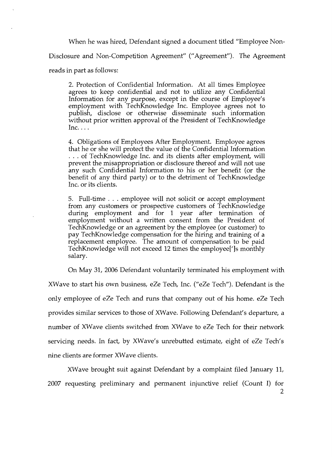When he was hired, Defendant signed a document titled "Employee Non-Disclosure and Non-Competition Agreement" ("Agreement"). The Agreement

reads in part as follows:

2. Protection of Confidential Information. At all times Employee agrees to keep confidential and not to utilize any Confidential Information for any purpose, except in the course of Employee's employment with TechKnowledge Inc. Employee agrees not to publish, disclose or otherwise disseminate such information without prior written approval of the President of TechKnowledge  $Inc.$ ...

4. Obligations of Employees After Employment. Employee agrees that he or she will protect the value of the Confidential Information ... of TechKnowledge Inc. and its clients after employment, will prevent the misappropriation or disclosure thereof and will not use any such Confidential Information to his or her benefit (or the benefit of any third party) or to the detriment of TechKnowledge Inc. or its clients.

5. Full-time ... employee will not solicit or accept employment from any customers or prospective customers of TechKnowledge during employment and for 1 year after termination of employment without a written consent from the President of TechKnowledge or an agreement by the employee (or customer) to pay TechKnowledge compensation for the hiring and training of a replacement employee. The amount of compensation to be paid TechKnowledge will not exceed 12 times the employee[']s monthly salary.

On May 31, 2006 Defendant voluntarily terminated his employment with

XWave to start his own business, eZe Tech, Inc. ("eZe Tech"). Defendant is the only employee of eZe Tech and runs that company out of his home. eZe Tech provides similar services to those of XWave. Following Defendant's departure, a number of XWave clients switched from XWave to eZe Tech for their network servicing needs. In fact, by XWave's unrebutted estimate, eight of eZe Tech's nine clients are former XWave clients.

XWave brought suit against Defendant by a complaint filed January 11, 2007 requesting preliminary and permanent injunctive relief (Count I) for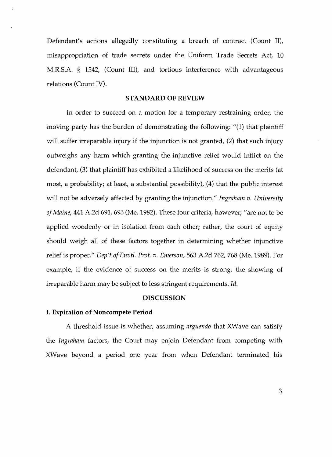Defendant's actions allegedly constituting a breach of contract (Count II), misappropriation of trade secrets under the Uniform Trade Secrets Act, 10 M.R.S.A. § 1542, (Count III), and tortious interference with advantageous relations (Count IV).

### **STANDARD OF REVIEW**

In order to succeed on a motion for a temporary restraining order, the moving party has the burden of demonstrating the following: "(1) that plaintiff will suffer irreparable injury if the injunction is not granted, (2) that such injury outweighs any harm which granting the injunctive relief would inflict on the defendant, (3) that plaintiff has exhibited a likelihood of success on the merits (at most, a probability; at least, a substantial possibility), (4) that the public interest will not be adversely affected by granting the injunction." *Ingraham v. University ofMaine,* 441 A.2d 691, 693 (Me. 1982). These four criteria, however, "are not to be applied woodenly or in isolation from each other; rather, the court of equity should weigh all of these factors together in determining whether injunctive relief is proper." *Dep't ofEnvtl. Prot. v. Emerson,* 563 A.2d 762, 768 (Me. 1989). For example, if the evidence of success on the merits is strong, the showing of irreparable harm may be subject to less stringent requirements. *Id.* 

## **DISCUSSION**

### **I. Expiration of Noncompete Period**

A threshold issue is whether, assuming *arguendo* that XWave can satisfy the *Ingraham* factors, the Court may enjoin Defendant from competing with XWave beyond a period one year from when Defendant terminated his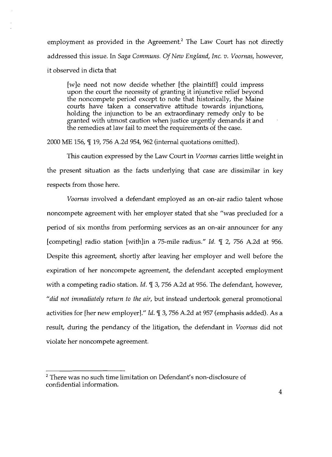employment as provided in the Agreement? The Law Court has not directly addressed this issue. In *Saga Communs. Of New England, Inc. v. Voornas,* however, it observed in dicta that

[w]e need not now decide whether [the plaintiff] could impress upon the court the necessity of granting it injunctive relief beyond the noncompete period except to note that historically, the Maine courts have taken a conservative attitude towards injunctions, holding the injunction to be an extraordinary remedy only to be granted with utmost caution when justice urgently demands it and the remedies at law fail to meet the requirements of the case.

2000 ME 156,  $\mathbb{I}$  19, 756 A.2d 954, 962 (internal quotations omitted).

This caution expressed by the Law Court in *Voornas* carries little weight in the present situation as the facts underlying that case are dissimilar in key respects from those here.

*Voornas* involved a defendant employed as an on-air radio talent whose noncompete agreement with her employer stated that she "was precluded for a period of six months from performing services as an on-air announcer for any [competing] radio station [with]in a 75-mile radius." *Id.* 1 2, 756 A.2d at 956. Despite this agreement, shortly after leaving her employer and well before the expiration of her noncompete agreement, the defendant accepted employment with a competing radio station. *Id.* 1 3, 756 A.2d at 956. The defendant, however, *"did not immediately return to the air,* but instead undertook general promotional activities for [her new employer]." *Id.* 1 3, 756 A.2d at 957 (emphasis added). As a result, during the pendancy of the litigation, the defendant in *Voornas* did not violate her noncompete agreement.

<sup>&</sup>lt;sup>2</sup> There was no such time limitation on Defendant's non-disclosure of confidential information.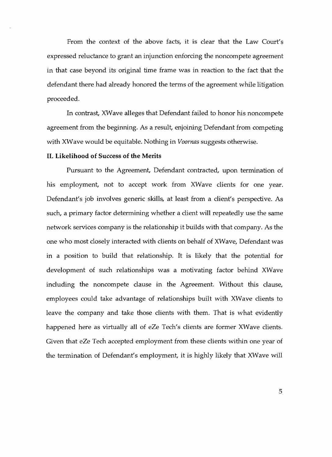From the context of the above facts, it is clear that the Law Court's expressed reluctance to grant an injunction enforcing the noncompete agreement in that case beyond its original time frame was in reaction to the fact that the defendant there had already honored the terms of the agreement while litigation proceeded.

In contrast, XWave alleges that Defendant failed to honor his noncompete agreement from the beginning. As a result, enjoining Defendant from competing with XWave would be equitable. Nothing in *Voornas* suggests otherwise.

#### **II. Likelihood of Success of the Merits**

Pursuant to the Agreement, Defendant contracted, upon termination of his employment, not to accept work from XWave clients for one year. Defendant's job involves generic skills, at least from a client's perspective. As such, a primary factor determining whether a client will repeatedly use the same network services company is the relationship it builds with that company. As the one who most closely interacted with clients on behalf of XWave, Defendant was in a position to build that relationship. It is likely that the potential for development of such relationships was a motivating factor behind XWave including the noncompete clause in the Agreement. Without this clause, employees could take advantage of relationships built with XWave clients to leave the company and take those clients with them. That is what evidently happened here as virtually all of eZe Tech's clients are former XWave clients. Given that eZe Tech accepted employment from these clients within one year of the termination of Defendant's employment, it is highly likely that XWave will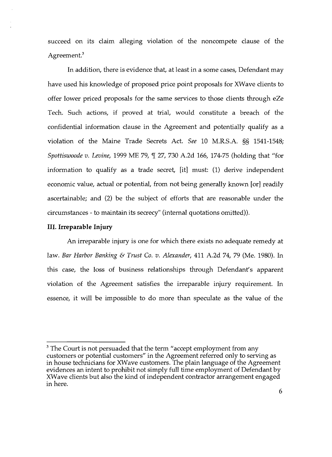succeed on its claim alleging violation of the noncompete clause of the Agreement.<sup>3</sup>

In addition, there is evidence that, at least in a some cases, Defendant may have used his knowledge of proposed price point proposals for XWave clients to offer lower priced proposals for the same services to those clients through eZe Tech. Such actions, if proved at trial, would constitute a breach of the confidential information clause in the Agreement and potentially qualify as a violation of the Maine Trade Secrets Act. *See* 10 M.R.S.A. §§ 1541-1548; *Spottiswoode v. Levine,* 1999 ME 79,  $\mathbb{I}$  27, 730 A.2d 166, 174-75 (holding that "for information to qualify as a trade secret, [it] must: (1) derive independent economic value, actual or potential, from not being generally known [or] readily ascertainable; and (2) be the subject of efforts that are reasonable under the circumstances - to maintain its secrecy" (internal quotations omitted)).

# **III. Irreparable Injury**

An irreparable injury is one for which there exists no adequate remedy at law. *Bar Harbor Banking* & *Trust Co. v. Alexander,* 411 A.2d 74, 79 (Me. 1980). In this case, the loss of business relationships through Defendant's apparent violation of the Agreement satisfies the irreparable injury requirement. In essence, it will be impossible to do more than speculate as the value of the

 $3$  The Court is not persuaded that the term "accept employment from any customers or potential customers" in the Agreement referred only to serving as in house technicians for XWave customers. The plain language of the Agreement evidences an intent to prohibit not simply full time employment of Defendant by XWave clients but also the kind of independent contractor arrangement engaged in here.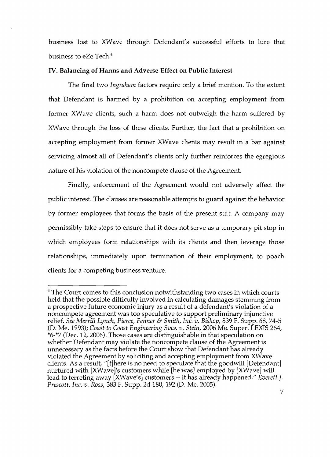business lost to XWave through Defendant's successful efforts to lure that business to eZe Tech.4

## IV. Balancing of Harms and Adverse Effect on Public Interest

The final two *Ingraham* factors require only a brief mention. To the extent that Defendant is harmed by a prohibition on accepting employment from former XWave clients, such a harm does not outweigh the harm suffered by XWave through the loss of these clients. Further, the fact that a prohibition on accepting employment from former XWave clients may result in a bar against servicing almost all of Defendant's clients only further reinforces the egregious nature of his violation of the noncompete clause of the Agreement.

Finally, enforcement of the Agreement would not adversely affect the public interest. The clauses are reasonable attempts to guard against the behavior by former employees that forms the basis of the present suit. A company may permissibly take steps to ensure that it does not serve as a temporary pit stop in which employees form relationships with its clients and then leverage those relationships, immediately upon termination of their employment, to poach clients for a competing business venture.

<sup>&</sup>lt;sup>4</sup> The Court comes to this conclusion notwithstanding two cases in which courts held that the possible difficulty involved in calculating damages stemming from a prospective future economic injury as a result of a defendant's violation of a noncompete agreement was too speculative to support preliminary injunctive relief. *See Merrill Lynch, Pierce, Fenner* & *Smith, Inc. v. Bishop,* 839 F. Supp. 68, 74-5 (D. Me. 1993); *Coast to Coast Engineering Svcs. v. Stein,* 2006 Me. Super. LEXIS 264, \*6-\*7 (Dec. 12,2006). Those cases are distinguishable in that speculation on whether Defendant may violate the noncompete clause of the Agreement is unnecessary as the facts before the Court show that Defendant has already violated the Agreement by soliciting and accepting employment from XWave clients. As a result, "[t]here is no need to speculate that the goodwill [Defendant] nurtured with [XWave]'s customers while [he was] employed by [XWave] will lead to ferreting away [XWave's] customers -- it has already happened." *Everett J. Prescott, Inc. v. Ross,* 383 F. Supp. 2d 180, 192 (D. Me. 2005).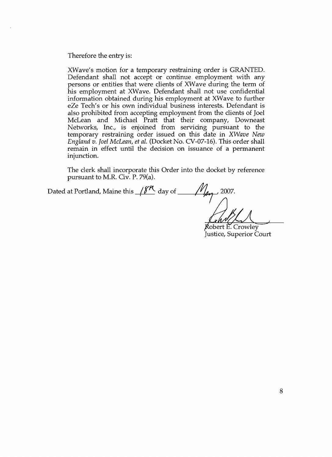Therefore the entry is:

XWave's motion for a temporary restraining order is GRANTED. Defendant shall not accept or continue employment with any persons or entities that were clients of XWave during the term of his employment at XWave. Defendant shall not use confidential information obtained during his employment at XWave to further eZe Tech's or his own individual business interests. Defendant is also prohibited from accepting employment from the clients of Joel McLean and Michael Pratt that their company, Downeast Networks, Inc., is enjoined from servicing pursuant to the temporary restraining order issued on this date in *XWave New England v. Joel McLean, et al.* (Docket No. CV-07-16). This order shall remain in effect until the decision on issuance of a permanent injunction.

The clerk shall incorporate this Order into the docket by reference pursuant to M.R. Civ. P. 79(a).

Dated at Portland, Maine this  $\frac{8\pi}{4}$  day of  $\frac{1}{2007}$ .

Robert E. Crowley Justice, Superior Court